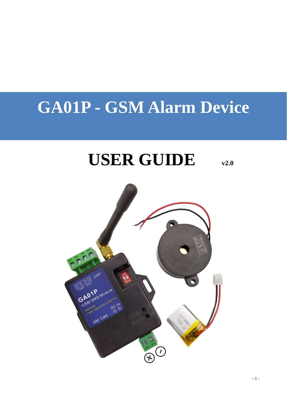# **GA01P - GSM Alarm Device**

# **USER GUIDE**  $v_{2.0}$

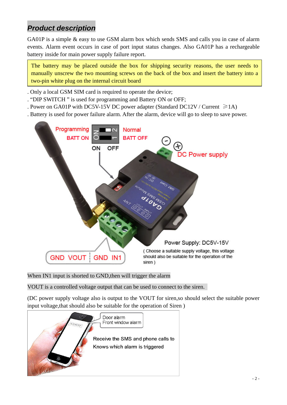# *Product description*

GA01P is a simple & easy to use GSM alarm box which sends SMS and calls you in case of alarm events. Alarm event occurs in case of port input status changes. Also GA01P has a rechargeable battery inside for main power supply failure report.

The battery may be placed outside the box for shipping security reasons, the user needs to manually unscrew the two mounting screws on the back of the box and insert the battery into a two-pin white plug on the internal circuit board

- . Only a local GSM SIM card is required to operate the device;
- . "DIP SWITCH " is used for programming and Battery ON or OFF;
- . Power on GA01P with DC5V-15V DC power adapter (Standard DC12V / Current  $\geq 1$ A)
- . Battery is used for power failure alarm. After the alarm, device will go to sleep to save power.



When IN1 input is shorted to GND, then will trigger the alarm

VOUT is a controlled voltage output that can be used to connect to the siren.

(DC power supply voltage also is output to the VOUT for siren,so should select the suitable power input voltage,that should also be suitable for the operation of Siren )

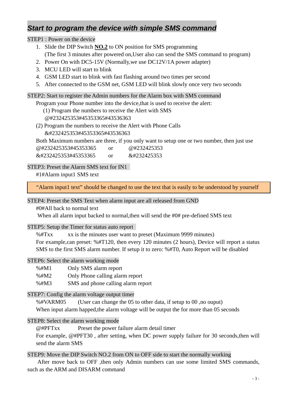# *Start to program the device with simple SMS command*

STEP1 : Power on the device

- 1. Slide the DIP Switch **NO.2** to ON position for SMS programming (The first 3 minutes after powered on,User also can send the SMS command to program)
- 2. Power On with DC5-15V (Normally,we use DC12V/1A power adapter)
- 3. MCU LED will start to blink
- 4. GSM LED start to blink with fast flashing around two times per second
- 5. After connected to the GSM net, GSM LED will blink slowly once very two seconds

#### STEP2: Start to register the Admin numbers for the Alarm box with SMS command

Program your Phone number into the device,that is used to receive the alert:

- (1) Program the numbers to receive the Alert with SMS
- @#232425353#45353365#43536363
- (2) Program the numbers to receive the Alert with Phone Calls &#232425353#45353365#43536363

Both Maximum numbers are three, if you only want to setup one or two number, then just use

@#232425353#45353365 or @#232425353 &#2324253533#45353365 or &#232425353

STEP3: Preset the Alarm SMS text for IN1

#1#Alarm input1 SMS text

"Alarm input1 text" should be changed to use the text that is easily to be understood by yourself

#### STEP4: Preset the SMS Text when alarm input are all released from GND

#0#All back to normal text

When all alarm input backed to normal, then will send the #0# pre-defined SMS text

#### STEP5: Setup the Timer for status auto report

 $%$  #Txx  $\frac{1}{2}$  xx is the minutes user want to preset (Maximum 9999 minutes)

For example,can preset: %#T120, then every 120 minutes (2 hours), Device will report a status SMS to the first SMS alarm number. If setup it to zero: %#T0, Auto Report will be disabled

#### STEP6: Select the alarm working mode

- %#M1 Only SMS alarm report
- %#M2 Only Phone calling alarm report
- %#M3 SMS and phone calling alarm report

#### STEP7: Config the alarm voltage output timer

%#VARM05 (User can change the 05 to other data, if setup to 00 ,no ouput) When input alarm happed,the alarm voltage will be output the for more than 05 seconds

#### STEP8: Select the alarm working mode

@#PFTxx Preset the power failure alarm detail timer

For example, @#PFT30, after setting, when DC power supply failure for 30 seconds, then will send the alarm SMS

#### STEP9: Move the DIP Switch NO.2 from ON to OFF side to start the normally working

 After move back to OFF ,then only Admin numbers can use some limited SMS commands, such as the ARM and DISARM command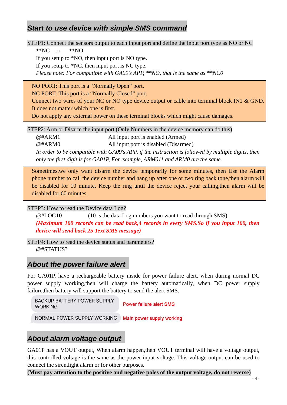### *Start to use device with simple SMS command*

# STEP1: Connect the sensors output to each input port and define the input port type as NO or NC \*\*NC or \*\*NO If you setup to \*NO, then input port is NO type. If you setup to \*NC, then input port is NC type. *Please note: For compatible with GA09's APP, \*\*NO, that is the same as \*\*NC0*

NO PORT: This port is a "Normally Open" port.

NC PORT: This port is a "Normally Closed" port.

Connect two wires of your NC or NO type device output or cable into terminal block IN1 & GND. It does not matter which one is first.

Do not apply any external power on these terminal blocks which might cause damages.

STEP2: Arm or Disarm the input port (Only Numbers in the device memory can do this)

@#ARM1 All input port is enabled (Armed) @#ARM0 All input port is disabled (Disarmed) In order to be compatible with GA09's APP, if the instruction is followed by multiple digits, then *only the first digit is for GA01P, For example, ARM011 and ARM0 are the same.* 

Sometimes,we only want disarm the device temporarily for some minutes, then Use the Alarm phone number to call the device number and hang up after one or two ring back tone,then alarm will be disabled for 10 minute. Keep the ring until the device reject your calling,then alarm will be disabled for 60 minutes.

#### STEP3: How to read the Device data Log?

@#LOG10 (10 is the data Log numbers you want to read through SMS) *(Maximum 100 records can be read back,4 records in every SMS.So if you input 100, then device will send back 25 Text SMS message)* 

STEP4: How to read the device status and parameters?

@#STATUS?

### *About the power failure alert*

For GA01P, have a rechargeable battery inside for power failure alert, when during normal DC power supply working,then will charge the battery automatically, when DC power supply failure,then battery will support the battery to send the alert SMS.

```
BACKUP BATTERY POWER SUPPLY
                                 Power failure alert SMS
WORKING
```
NORMAL POWER SUPPLY WORKING Main power supply working

# *About alarm voltage output*

GA01P has a VOUT output, When alarm happen,then VOUT terminal will have a voltage output, this controlled voltage is the same as the power input voltage. This voltage output can be used to connect the siren,light alarm or for other purposes.

**(Must pay attention to the positive and negative poles of the output voltage, do not reverse)** 

 $-4-$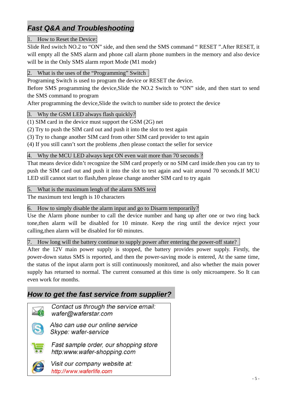# *Fast Q&A and Troubleshooting*

#### 1. How to Reset the Device:

Slide Red switch NO.2 to "ON" side, and then send the SMS command " RESET ".After RESET, it will empty all the SMS alarm and phone call alarm phone numbers in the memory and also device will be in the Only SMS alarm report Mode (M1 mode)

#### 2. What is the uses of the "Programming" Switch

Programing Switch is used to program the device or RESET the device.

Before SMS programming the device,Slide the NO.2 Switch to "ON" side, and then start to send the SMS command to program

After programming the device,Slide the switch to number side to protect the device

#### 3. Why the GSM LED always flash quickly?

- (1) SIM card in the device must support the GSM (2G) net
- (2) Try to push the SIM card out and push it into the slot to test again
- (3) Try to change another SIM card from other SIM card provider to test again

(4) If you still cann't sort the problems ,then please contact the seller for service

#### 4. Why the MCU LED always kept ON even wait more than 70 seconds?

That means device didn't recognize the SIM card properly or no SIM card inside.then you can try to push the SIM card out and push it into the slot to test again and wait around 70 seconds.If MCU LED still cannot start to flash,then please change another SIM card to try again

#### 5. What is the maximum lengh of the alarm SMS text

The maximum text length is 10 characters

#### 6. How to simply disable the alarm input and go to Disarm temporarily?

Use the Alarm phone number to call the device number and hang up after one or two ring back tone,then alarm will be disabled for 10 minute. Keep the ring until the device reject your calling,then alarm will be disabled for 60 minutes.

7. How long will the battery continue to supply power after entering the power-off state?

After the 12V main power supply is stopped, the battery provides power supply. Firstly, the power-down status SMS is reported, and then the power-saving mode is entered, At the same time, the status of the input alarm port is still continuously monitored, and also whether the main power supply has returned to normal. The current consumed at this time is only microampere. So It can even work for months.

# *How to get the fast service from supplier?*